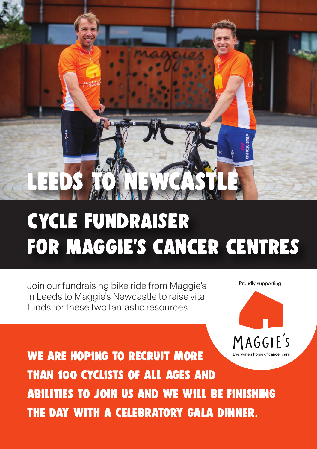

## CYCLE FUNDRAISER FOR MAGGIE's CANCER CENTRES

Join our fundraising bike ride from Maggie's in Leeds to Maggie's Newcastle to raise vital funds for these two fantastic resources.

MAGGIE'S Everyone's home of cancer care

Proudly supporting

We are hoping to recruit more than 100 cyclists of all ages and abilities to join us and we will be finishing the day with a celebratory gala dinner.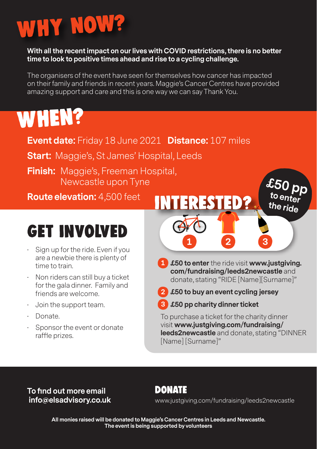# Why Now?

### **With all the recent impact on our lives with COVID restrictions, there is no better time to look to positive times ahead and rise to a cycling challenge.**

The organisers of the event have seen for themselves how cancer has impacted on their family and friends in recent years. Maggie's Cancer Centres have provided amazing support and care and this is one way we can say Thank You.

# WHEN?

- **Event date:** Friday 18 June 2021 **Distance:** 107 miles
- **Start:** Maggie's, St James' Hospital, Leeds
- **Finish:** Maggie's, Freeman Hospital, Newcastle upon Tyne

**Route elevation:** 4,500 feet

### Get Involved

- Sign up for the ride. Even if you are a newbie there is plenty of time to train.
- Non riders can still buy a ticket for the gala dinner. Family and friends are welcome.
- Join the support team.
- Donate.
- Sponsor the event or donate raffle prizes.



- **1 £50 to enter** the ride visit **www.justgiving. 1 com/fundraising/leeds2newcastle** and donate, stating "RIDE [Name][Surname]"
- **2 £50 to buy an event cycling jersey 2**
- **3 £50 pp charity dinner ticket 3**

To purchase a ticket for the charity dinner visit **www.justgiving.com/fundraising/ leeds2newcastle** and donate, stating "DINNER [Name] [Surname]"

**To find out more email info@elsadvisory.co.uk**

### Donate

www.justgiving.com/fundraising/leeds2newcastle

**All monies raised will be donated to Maggie's Cancer Centres in Leeds and Newcastle. The event is being supported by volunteers**